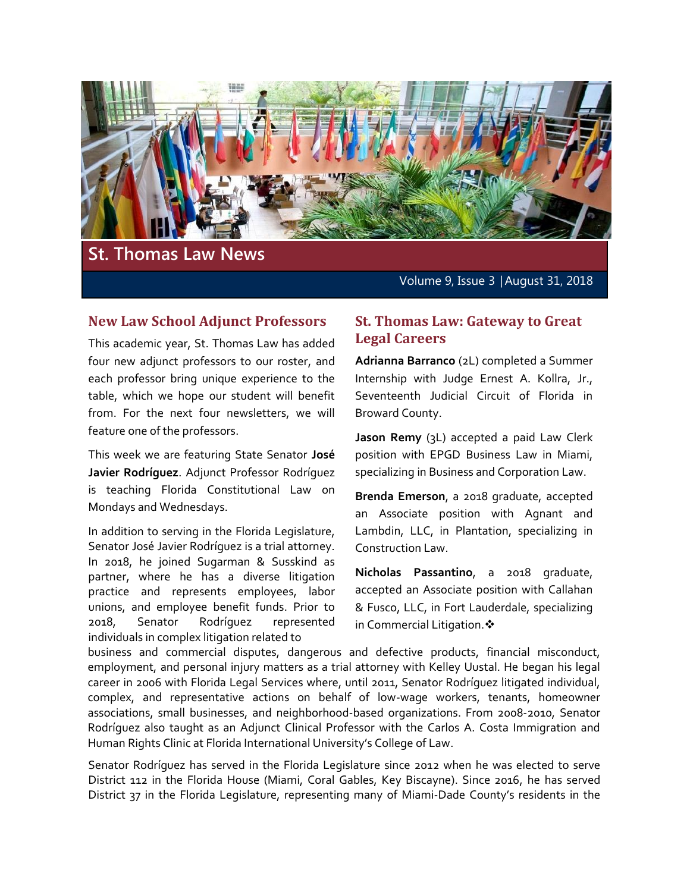

# **St. Thomas Law News**

Volume 9, Issue 3 │August 31, 2018

#### **New Law School Adjunct Professors**

This academic year, St. Thomas Law has added four new adjunct professors to our roster, and each professor bring unique experience to the table, which we hope our student will benefit from. For the next four newsletters, we will feature one of the professors.

This week we are featuring State Senator **José Javier Rodríguez**. Adjunct Professor Rodríguez is teaching Florida Constitutional Law on Mondays and Wednesdays.

In addition to serving in the Florida Legislature, Senator José Javier Rodríguez is a trial attorney. In 2018, he joined Sugarman & Susskind as partner, where he has a diverse litigation practice and represents employees, labor unions, and employee benefit funds. Prior to 2018, Senator Rodríguez represented individuals in complex litigation related to

## **St. Thomas Law: Gateway to Great Legal Careers**

**Adrianna Barranco** (2L) completed a Summer Internship with Judge Ernest A. Kollra, Jr., Seventeenth Judicial Circuit of Florida in Broward County.

**Jason Remy** (3L) accepted a paid Law Clerk position with EPGD Business Law in Miami, specializing in Business and Corporation Law.

**Brenda Emerson**, a 2018 graduate, accepted an Associate position with Agnant and Lambdin, LLC, in Plantation, specializing in Construction Law.

**Nicholas Passantino**, a 2018 graduate, accepted an Associate position with Callahan & Fusco, LLC, in Fort Lauderdale, specializing in Commercial Litigation. ❖

business and commercial disputes, dangerous and defective products, financial misconduct, employment, and personal injury matters as a trial attorney with Kelley Uustal. He began his legal career in 2006 with Florida Legal Services where, until 2011, Senator Rodríguez litigated individual, complex, and representative actions on behalf of low-wage workers, tenants, homeowner associations, small businesses, and neighborhood-based organizations. From 2008-2010, Senator Rodríguez also taught as an Adjunct Clinical Professor with the Carlos A. Costa Immigration and Human Rights Clinic at Florida International University's College of Law.

Senator Rodríguez has served in the Florida Legislature since 2012 when he was elected to serve District 112 in the Florida House (Miami, Coral Gables, Key Biscayne). Since 2016, he has served District 37 in the Florida Legislature, representing many of Miami-Dade County's residents in the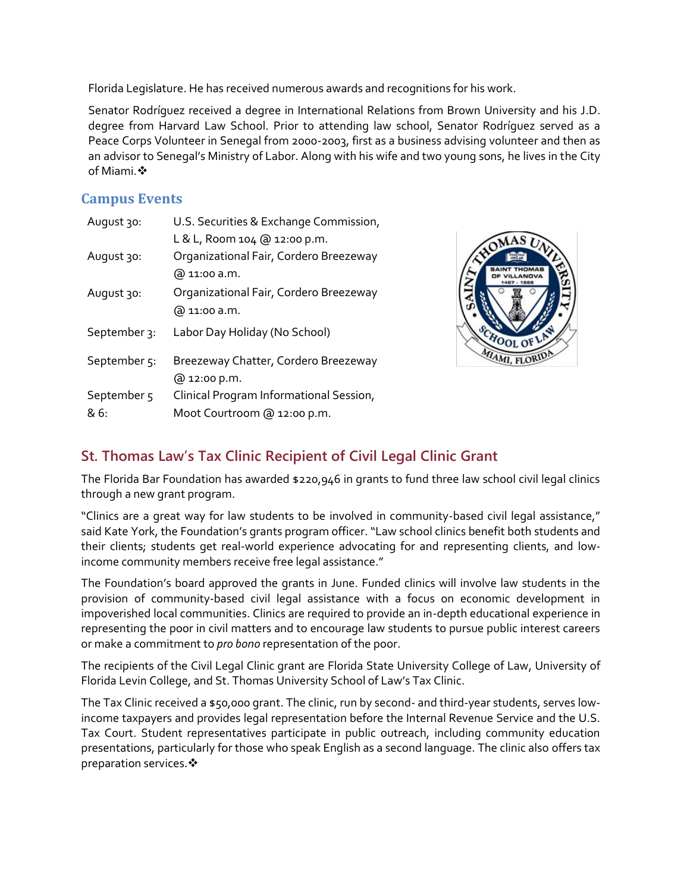Florida Legislature. He has received numerous awards and recognitions for his work.

Senator Rodríguez received a degree in International Relations from Brown University and his J.D. degree from Harvard Law School. Prior to attending law school, Senator Rodríguez served as a Peace Corps Volunteer in Senegal from 2000-2003, first as a business advising volunteer and then as an advisor to Senegal's Ministry of Labor. Along with his wife and two young sons, he lives in the City of Miami. ❖

## **Campus Events**

| August 30:             | U.S. Securities & Exchange Commission,  |
|------------------------|-----------------------------------------|
|                        | L & L, Room 104 @ 12:00 p.m.            |
| Rugust 30:             | Organizational Fair, Cordero Breezeway  |
|                        | @ 11:00 a.m.                            |
| August 30:             | Organizational Fair, Cordero Breezeway  |
|                        | @ 11:00 a.m.                            |
| September 3:           | Labor Day Holiday (No School)           |
| September 5:           | Breezeway Chatter, Cordero Breezeway    |
|                        | @ 12:00 p.m.                            |
| September <sub>5</sub> | Clinical Program Informational Session, |
| & 6։                   | Moot Courtroom @ 12:00 p.m.             |



# **St. Thomas Law's Tax Clinic Recipient of Civil Legal Clinic Grant**

The Florida Bar Foundation has awarded \$220,946 in grants to fund three law school civil legal clinics through a new grant program.

"Clinics are a great way for law students to be involved in community-based civil legal assistance," said Kate York, the Foundation's grants program officer. "Law school clinics benefit both students and their clients; students get real-world experience advocating for and representing clients, and lowincome community members receive free legal assistance."

The Foundation's board approved the grants in June. Funded clinics will involve law students in the provision of community-based civil legal assistance with a focus on economic development in impoverished local communities. Clinics are required to provide an in-depth educational experience in representing the poor in civil matters and to encourage law students to pursue public interest careers or make a commitment to *pro bono* representation of the poor.

The recipients of the Civil Legal Clinic grant are Florida State University College of Law, University of Florida Levin College, and St. Thomas University School of Law's Tax Clinic.

The Tax Clinic received a \$50,000 grant. The clinic, run by second- and third-year students, serves lowincome taxpayers and provides legal representation before the Internal Revenue Service and the U.S. Tax Court. Student representatives participate in public outreach, including community education presentations, particularly for those who speak English as a second language. The clinic also offers tax preparation services. ❖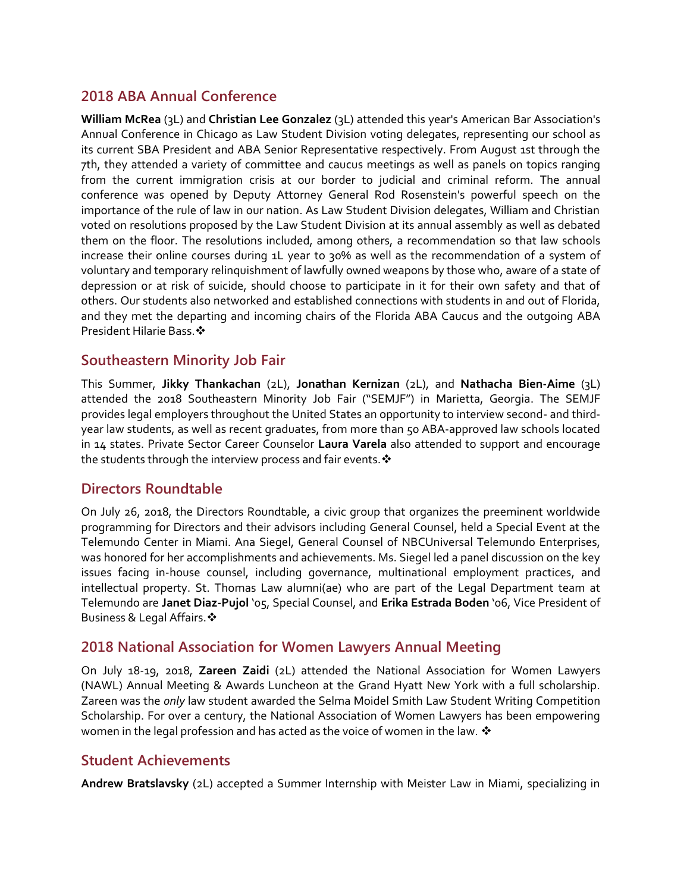# **2018 ABA Annual Conference**

**William McRea** (3L) and **Christian Lee Gonzalez** (3L) attended this year's American Bar Association's Annual Conference in Chicago as Law Student Division voting delegates, representing our school as its current SBA President and ABA Senior Representative respectively. From August 1st through the 7th, they attended a variety of committee and caucus meetings as well as panels on topics ranging from the current immigration crisis at our border to judicial and criminal reform. The annual conference was opened by Deputy Attorney General Rod Rosenstein's powerful speech on the importance of the rule of law in our nation. As Law Student Division delegates, William and Christian voted on resolutions proposed by the Law Student Division at its annual assembly as well as debated them on the floor. The resolutions included, among others, a recommendation so that law schools increase their online courses during 1L year to 30% as well as the recommendation of a system of voluntary and temporary relinquishment of lawfully owned weapons by those who, aware of a state of depression or at risk of suicide, should choose to participate in it for their own safety and that of others. Our students also networked and established connections with students in and out of Florida, and they met the departing and incoming chairs of the Florida ABA Caucus and the outgoing ABA President Hilarie Bass.

## **Southeastern Minority Job Fair**

This Summer, **Jikky Thankachan** (2L), **Jonathan Kernizan** (2L), and **Nathacha Bien-Aime** (3L) attended the 2018 Southeastern Minority Job Fair ("SEMJF") in Marietta, Georgia. The SEMJF provides legal employers throughout the United States an opportunity to interview second- and thirdyear law students, as well as recent graduates, from more than 50 ABA-approved law schools located in 14 states. Private Sector Career Counselor **Laura Varela** also attended to support and encourage the students through the interview process and fair events.  $\cdot$ 

#### **Directors Roundtable**

On July 26, 2018, the Directors Roundtable, a civic group that organizes the preeminent worldwide programming for Directors and their advisors including General Counsel, held a Special Event at the Telemundo Center in Miami. Ana Siegel, General Counsel of NBCUniversal Telemundo Enterprises, was honored for her accomplishments and achievements. Ms. Siegel led a panel discussion on the key issues facing in-house counsel, including governance, multinational employment practices, and intellectual property. St. Thomas Law alumni(ae) who are part of the Legal Department team at Telemundo are **Janet Diaz-Pujol** '05, Special Counsel, and **Erika Estrada Boden** '06, Vice President of Business & Legal Affairs.

#### **2018 National Association for Women Lawyers Annual Meeting**

On July 18-19, 2018, **Zareen Zaidi** (2L) attended the National Association for Women Lawyers (NAWL) Annual Meeting & Awards Luncheon at the Grand Hyatt New York with a full scholarship. Zareen was the *only* law student awarded the Selma Moidel Smith Law Student Writing Competition Scholarship. For over a century, the National Association of Women Lawyers has been empowering women in the legal profession and has acted as the voice of women in the law.  $\clubsuit$ 

# **Student Achievements**

**Andrew Bratslavsky** (2L) accepted a Summer Internship with Meister Law in Miami, specializing in